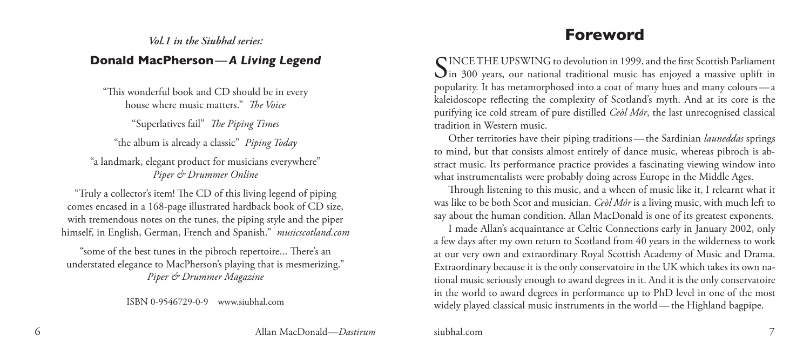#### *Vol.1 in the Siubhal series:*

#### **Donald MacPherson** — *A Living Legend*

"This wonderful book and CD should be in every house where music matters." *The Voice*

"Superlatives fail" *The Piping Times*

"the album is already a classic" *Piping Today*

"a landmark, elegant product for musicians everywhere" *Piper & Drummer Online*

"Truly a collector's item! The CD of this living legend of piping comes encased in a 168-page illustrated hardback book of CD size, with tremendous notes on the tunes, the piping style and the piper himself, in English, German, French and Spanish." *musicscotland.com*

"some of the best tunes in the pibroch repertoire... There's an understated elegance to MacPherson's playing that is mesmerizing." *Piper & Drummer Magazine*

ISBN 0-9546729-0-9 www.siubhal.com

# **Foreword**

SINCE THE UPSWING to devolution in 1999, and the first Scottish Parliament<br>Sin 300 years, our national traditional music has enjoyed a massive uplift in popularity. It has metamorphosed into a coat of many hues and many colours—a kaleidoscope reflecting the complexity of Scotland's myth. And at its core is the purifying ice cold stream of pure distilled *Ceòl Mór*, the last unrecognised classical tradition in Western music.

Other territories have their piping traditions—the Sardinian *launeddas* springs to mind, but that consists almost entirely of dance music, whereas pibroch is abstract music. Its performance practice provides a fascinating viewing window into what instrumentalists were probably doing across Europe in the Middle Ages.

Through listening to this music, and a wheen of music like it, I relearnt what it was like to be both Scot and musician. *Ceòl Mór* is a living music, with much left to say about the human condition. Allan MacDonald is one of its greatest exponents.

I made Allan's acquaintance at Celtic Connections early in January 2002, only a few days after my own return to Scotland from 40 years in the wilderness to work at our very own and extraordinary Royal Scottish Academy of Music and Drama. Extraordinary because it is the only conservatoire in the UK which takes its own national music seriously enough to award degrees in it. And it is the only conservatoire in the world to award degrees in performance up to PhD level in one of the most widely played classical music instruments in the world—the Highland bagpipe.

 Allan MacDonald—*Dastirum* siubhal.com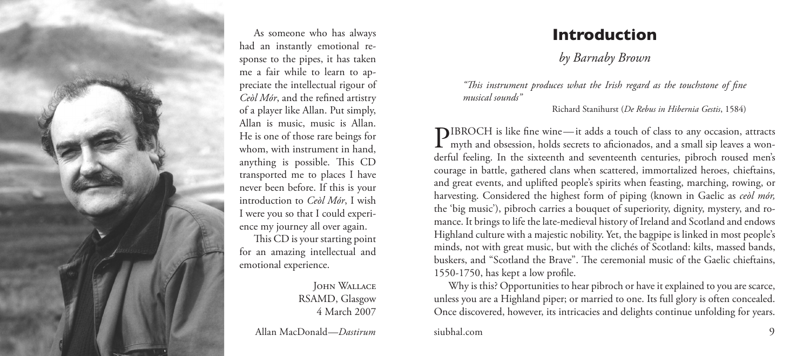

As someone who has always had an instantly emotional re sponse to the pipes, it has taken me a fair while to learn to ap preciate the intellectual rigour of *Ceòl Mór*, and the refined artistry of a player like Allan. Put simply, Allan is music, music is Allan. He is one of those rare beings for whom, with instrument in hand, anything is possible. This CD transported me to places I have never been before. If this is your introduction to *Ceòl Mór*, I wish I were you so that I could experi ence my journey all over again. This CD is your starting point for an amazing intellectual and emotional experience.

John Wallace RSAMD, Glasgow 4 March 2007

Allan MacDonald—*Dastirum* siubhal.com

## **Introduction**

*by Barnaby Brown*

*"This instrument produces what the Irish regard as the touchstone of fine musical sounds"*

Richard Stanihurst (*De Rebus in Hibernia Gestis* , 1584)

**PIBROCH** is like fine wine—it adds a touch of class to any occasion, attracts<br>myth and obsession, holds secrets to aficionados, and a small sip leaves a wonh is like fine wine —it adds a touch of class to any occasion, attracts derful feeling. In the sixteenth and seventeenth centuries, pibroch roused men's courage in battle, gathered clans when scattered, immortalized heroes, chieftains, and great events, and uplifted people's spirits when feasting, marching, rowing, or harvesting. Considered the highest form of piping (known in Gaelic as *ceòl mór,*  the 'big music'), pibroch carries a bouquet of superiority, dignity, mystery, and ro mance. It brings to life the late-medieval history of Ireland and Scotland and endows Highland culture with a majestic nobility. Yet, the bagpipe is linked in most people's minds, not with great music, but with the clichés of Scotland: kilts, massed bands, buskers, and "Scotland the Brave". The ceremonial music of the Gaelic chieftains, 1550-1 750, has kept a low profile.

Why is this? Opportunities to hear pibroch or have it explained to you are scarce, unless you are a Highland piper; or married to one. Its full glory is often concealed. Once discovered, however, its intricacies and delights continue unfolding for years.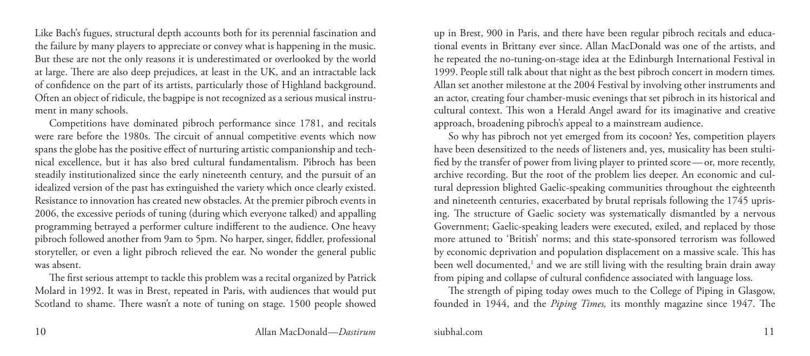Like Bach's fugues, structural depth accounts both for its perennial fascination and the failure by many players to appreciate or convey what is happening in the music. But these are not the only reasons it is underestimated or overlooked by the world at large. There are also deep prejudices, at least in the UK, and an intractable lack of confidence on the part of its artists, particularly those of Highland background. Often an object of ridicule, the bagpipe is not recognized as a serious musical instrument in many schools.

Competitions have dominated pibroch performance since 1781, and recitals were rare before the 1980s. The circuit of annual competitive events which now spans the globe has the positive effect of nurturing artistic companionship and technical excellence, but it has also bred cultural fundamentalism. Pibroch has been steadily institutionalized since the early nineteenth century, and the pursuit of an idealized version of the past has extinguished the variety which once clearly existed. Resistance to innovation has created new obstacles. At the premier pibroch events in 2006, the excessive periods of tuning (during which everyone talked) and appalling programming betrayed a performer culture indifferent to the audience. One heavy pibroch followed another from 9am to 5pm. No harper, singer, fiddler, professional storyteller, or even a light pibroch relieved the ear. No wonder the general public was absent.

The first serious attempt to tackle this problem was a recital organized by Patrick Molard in 1992. It was in Brest, repeated in Paris, with audiences that would put Scotland to shame. There wasn't a note of tuning on stage. 1500 people showed up in Brest, 900 in Paris, and there have been regular pibroch recitals and educational events in Brittany ever since. Allan MacDonald was one of the artists, and he repeated the no-tuning-on-stage idea at the Edinburgh International Festival in 1999. People still talk about that night as the best pibroch concert in modern times. Allan set another milestone at the 2004 Festival by involving other instruments and an actor, creating four chamber-music evenings that set pibroch in its historical and cultural context. This won a Herald Angel award for its imaginative and creative approach, broadening pibroch's appeal to a mainstream audience.

So why has pibroch not yet emerged from its cocoon? Yes, competition players have been desensitized to the needs of listeners and, yes, musicality has been stultified by the transfer of power from living player to printed score—or, more recently, archive recording. But the root of the problem lies deeper. An economic and cultural depression blighted Gaelic-speaking communities throughout the eighteenth and nineteenth centuries, exacerbated by brutal reprisals following the 1745 uprising. The structure of Gaelic society was systematically dismantled by a nervous Government; Gaelic-speaking leaders were executed, exiled, and replaced by those more attuned to 'British' norms; and this state-sponsored terrorism was followed by economic deprivation and population displacement on a massive scale. This has been well documented,<sup>1</sup> and we are still living with the resulting brain drain away from piping and collapse of cultural confidence associated with language loss.

The strength of piping today owes much to the College of Piping in Glasgow, founded in 1944, and the *Piping Times,* its monthly magazine since 1947. The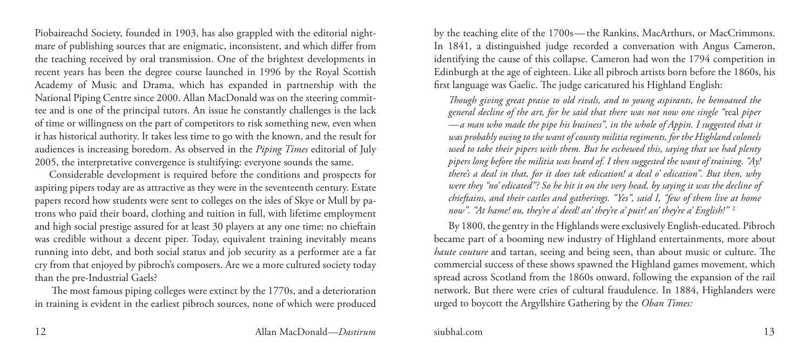Piobaireachd Society, founded in 1903, has also grappled with the editorial nightmare of publishing sources that are enigmatic, inconsistent, and which differ from the teaching received by oral transmission. One of the brightest developments in recent years has been the degree course launched in 1996 by the Royal Scottish Academy of Music and Drama, which has expanded in partnership with the National Piping Centre since 2000. Allan MacDonald was on the steering committee and is one of the principal tutors. An issue he constantly challenges is the lack of time or willingness on the part of competitors to risk something new, even when it has historical authority. It takes less time to go with the known, and the result for audiences is increasing boredom. As observed in the *Piping Times* editorial of July 2005, the interpretative convergence is stultifying: everyone sounds the same.

Considerable development is required before the conditions and prospects for aspiring pipers today are as attractive as they were in the seventeenth century. Estate papers record how students were sent to colleges on the isles of Skye or Mull by patrons who paid their board, clothing and tuition in full, with lifetime employment and high social prestige assured for at least 30 players at any one time: no chieftain was credible without a decent piper. Today, equivalent training inevitably means running into debt, and both social status and job security as a performer are a far cry from that enjoyed by pibroch's composers. Are we a more cultured society today than the pre-Industrial Gaels?

The most famous piping colleges were extinct by the 1770s, and a deterioration in training is evident in the earliest pibroch sources, none of which were produced by the teaching elite of the 1700s—the Rankins, MacArthurs, or MacCrimmons. In 1841, a distinguished judge recorded a conversation with Angus Cameron, identifying the cause of this collapse. Cameron had won the 1794 competition in Edinburgh at the age of eighteen. Like all pibroch artists born before the 1860s, his first language was Gaelic. The judge caricatured his Highland English:

*Though giving great praise to old rivals, and to young aspirants, he bemoaned the general decline of the art, for he said that there was not now one single "*real *piper —a man who made the pipe his business", in the whole of Appin. I suggested that it was probably owing to the want of county militia regiments, for the Highland colonels used to take their pipers with them. But he eschewed this, saying that we had plenty pipers long before the militia was heard of. I then suggested the want of training. "Ay! there's a deal in that, for it does tak edication! a deal o' edication". But then, why were they "no' edicated"? So he hit it on the very head, by saying it was the decline of chieftains, and their castles and gatherings. "Yes", said I, "few of them live at home now". "At hame! ou, they're a' deed! an' they're a' puir! an' they're a' English!"* <sup>2</sup>

By 1800, the gentry in the Highlands were exclusively English-educated. Pibroch became part of a booming new industry of Highland entertainments, more about *haute couture* and tartan, seeing and being seen, than about music or culture. The commercial success of these shows spawned the Highland games movement, which spread across Scotland from the 1860s onward, following the expansion of the rail network. But there were cries of cultural fraudulence. In 1884, Highlanders were urged to boycott the Argyllshire Gathering by the *Oban Times:*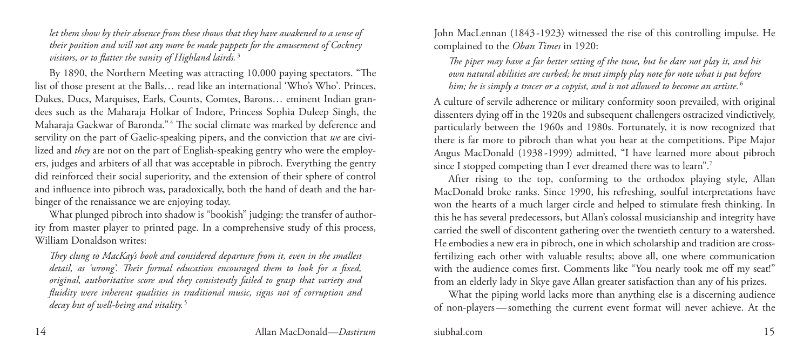*let them show by their absence from these shows that they have awakened to a sense of their position and will not any more be made puppets for the amusement of Cockney visitors, or to flatter the vanity of Highland lairds.* <sup>3</sup>

By 1890, the Northern Meeting was attracting 10,000 paying spectators. "The list of those present at the Balls… read like an international 'Who's Who'. Princes, Dukes, Ducs, Marquises, Earls, Counts, Comtes, Barons… eminent Indian grandees such as the Maharaja Holkar of Indore, Princess Sophia Duleep Singh, the Maharaja Gaekwar of Baronda." <sup>4</sup> The social climate was marked by deference and servility on the part of Gaelic-speaking pipers, and the conviction that *we* are civilized and *they* are not on the part of English-speaking gentry who were the employers, judges and arbiters of all that was acceptable in pibroch. Everything the gentry did reinforced their social superiority, and the extension of their sphere of control and influence into pibroch was, paradoxically, both the hand of death and the harbinger of the renaissance we are enjoying today.

What plunged pibroch into shadow is "bookish" judging: the transfer of authority from master player to printed page. In a comprehensive study of this process, William Donaldson writes:

*They clung to MacKay's book and considered departure from it, even in the smallest detail, as 'wrong'. Their formal education encouraged them to look for a fixed, original, authoritative score and they consistently failed to grasp that variety and fluidity were inherent qualities in traditional music, signs not of corruption and decay but of well-being and vitality.* <sup>5</sup>

John MacLennan (1843 -1923) witnessed the rise of this controlling impulse. He complained to the *Oban Times* in 1920:

*The piper may have a far better setting of the tune, but he dare not play it, and his own natural abilities are curbed; he must simply play note for note what is put before him; he is simply a tracer or a copyist, and is not allowed to become an artiste.* <sup>6</sup>

A culture of servile adherence or military conformity soon prevailed, with original dissenters dying off in the 1920s and subsequent challengers ostracized vindictively, particularly between the 1960s and 1980s. Fortunately, it is now recognized that there is far more to pibroch than what you hear at the competitions. Pipe Major Angus MacDonald (1938-1999) admitted, "I have learned more about pibroch since I stopped competing than I ever dreamed there was to learn".<sup>7</sup>

After rising to the top, conforming to the orthodox playing style, Allan MacDonald broke ranks. Since 1990, his refreshing, soulful interpretations have won the hearts of a much larger circle and helped to stimulate fresh thinking. In this he has several predecessors, but Allan's colossal musicianship and integrity have carried the swell of discontent gathering over the twentieth century to a watershed. He embodies a new era in pibroch, one in which scholarship and tradition are crossfertilizing each other with valuable results; above all, one where communication with the audience comes first. Comments like "You nearly took me off my seat!" from an elderly lady in Skye gave Allan greater satisfaction than any of his prizes.

What the piping world lacks more than anything else is a discerning audience of non-players—something the current event format will never achieve. At the